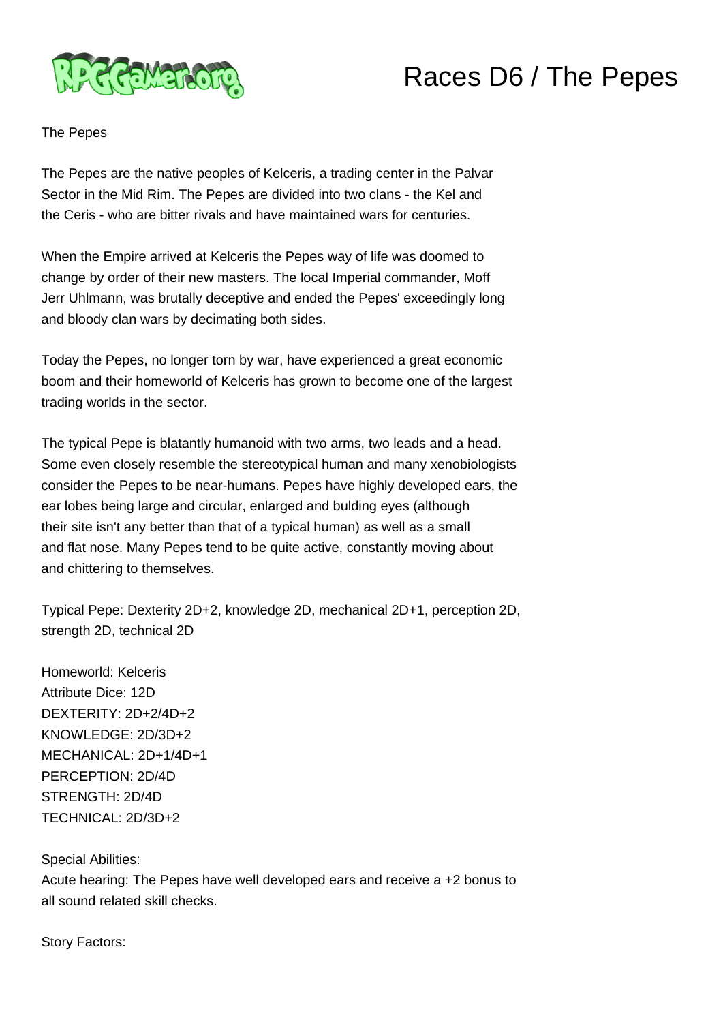

## Races D6 / The Pepes

The Pepes

The Pepes are the native peoples of Kelceris, a trading center in the Palvar Sector in the Mid Rim. The Pepes are divided into two clans - the Kel and the Ceris - who are bitter rivals and have maintained wars for centuries.

When the Empire arrived at Kelceris the Pepes way of life was doomed to change by order of their new masters. The local Imperial commander, Moff Jerr Uhlmann, was brutally deceptive and ended the Pepes' exceedingly long and bloody clan wars by decimating both sides.

Today the Pepes, no longer torn by war, have experienced a great economic boom and their homeworld of Kelceris has grown to become one of the largest trading worlds in the sector.

The typical Pepe is blatantly humanoid with two arms, two leads and a head. Some even closely resemble the stereotypical human and many xenobiologists consider the Pepes to be near-humans. Pepes have highly developed ears, the ear lobes being large and circular, enlarged and bulding eyes (although their site isn't any better than that of a typical human) as well as a small and flat nose. Many Pepes tend to be quite active, constantly moving about and chittering to themselves.

Typical Pepe: Dexterity 2D+2, knowledge 2D, mechanical 2D+1, perception 2D, strength 2D, technical 2D

Homeworld: Kelceris Attribute Dice: 12D DEXTERITY: 2D+2/4D+2 KNOWLEDGE: 2D/3D+2 MECHANICAL: 2D+1/4D+1 PERCEPTION: 2D/4D STRENGTH: 2D/4D TECHNICAL: 2D/3D+2

Special Abilities:

Acute hearing: The Pepes have well developed ears and receive a +2 bonus to all sound related skill checks.

Story Factors: